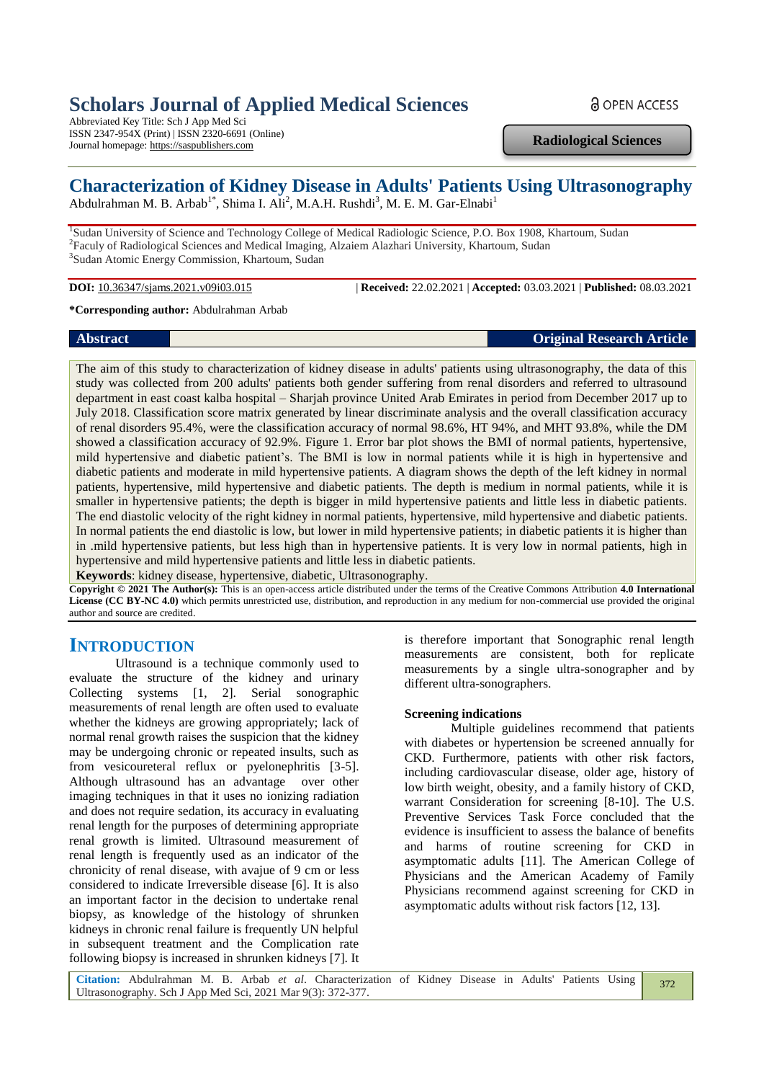# **Scholars Journal of Applied Medical Sciences**

Abbreviated Key Title: Sch J App Med Sci ISSN 2347-954X (Print) | ISSN 2320-6691 (Online) Journal homepage: https://saspublishers.com

**Radiological Sciences**

**a** OPEN ACCESS

## **Characterization of Kidney Disease in Adults' Patients Using Ultrasonography**

Abdulrahman M. B. Arbab<sup>1\*</sup>, Shima I. Ali<sup>2</sup>, M.A.H. Rushdi<sup>3</sup>, M. E. M. Gar-Elnabi<sup>1</sup>

<sup>1</sup>Sudan University of Science and Technology College of Medical Radiologic Science, P.O. Box 1908, Khartoum, Sudan <sup>2</sup>Faculy of Radiological Sciences and Medical Imaging, Alzaiem Alazhari University, Khartoum, Sudan 3 Sudan Atomic Energy Commission, Khartoum, Sudan

**DOI:** 10.36347/sjams.2021.v09i03.015 | **Received:** 22.02.2021 | **Accepted:** 03.03.2021 | **Published:** 08.03.2021

**\*Corresponding author:** Abdulrahman Arbab

**Abstract Original Research Article**

The aim of this study to characterization of kidney disease in adults' patients using ultrasonography, the data of this study was collected from 200 adults' patients both gender suffering from renal disorders and referred to ultrasound department in east coast kalba hospital – Sharjah province United Arab Emirates in period from December 2017 up to July 2018. Classification score matrix generated by linear discriminate analysis and the overall classification accuracy of renal disorders 95.4%, were the classification accuracy of normal 98.6%, HT 94%, and MHT 93.8%, while the DM showed a classification accuracy of 92.9%. Figure 1. Error bar plot shows the BMI of normal patients, hypertensive, mild hypertensive and diabetic patient's. The BMI is low in normal patients while it is high in hypertensive and diabetic patients and moderate in mild hypertensive patients. A diagram shows the depth of the left kidney in normal patients, hypertensive, mild hypertensive and diabetic patients. The depth is medium in normal patients, while it is smaller in hypertensive patients; the depth is bigger in mild hypertensive patients and little less in diabetic patients. The end diastolic velocity of the right kidney in normal patients, hypertensive, mild hypertensive and diabetic patients. In normal patients the end diastolic is low, but lower in mild hypertensive patients; in diabetic patients it is higher than in .mild hypertensive patients, but less high than in hypertensive patients. It is very low in normal patients, high in hypertensive and mild hypertensive patients and little less in diabetic patients.

**Keywords**: kidney disease, hypertensive, diabetic, Ultrasonography.

**Copyright © 2021 The Author(s):** This is an open-access article distributed under the terms of the Creative Commons Attribution **4.0 International License (CC BY-NC 4.0)** which permits unrestricted use, distribution, and reproduction in any medium for non-commercial use provided the original author and source are credited.

## **INTRODUCTION**

Ultrasound is a technique commonly used to evaluate the structure of the kidney and urinary Collecting systems [1, 2]. Serial sonographic measurements of renal length are often used to evaluate whether the kidneys are growing appropriately; lack of normal renal growth raises the suspicion that the kidney may be undergoing chronic or repeated insults, such as from vesicoureteral reflux or pyelonephritis [3-5]. Although ultrasound has an advantage over other imaging techniques in that it uses no ionizing radiation and does not require sedation, its accuracy in evaluating renal length for the purposes of determining appropriate renal growth is limited. Ultrasound measurement of renal length is frequently used as an indicator of the chronicity of renal disease, with avajue of 9 cm or less considered to indicate Irreversible disease [6]. It is also an important factor in the decision to undertake renal biopsy, as knowledge of the histology of shrunken kidneys in chronic renal failure is frequently UN helpful in subsequent treatment and the Complication rate following biopsy is increased in shrunken kidneys [7]. It

is therefore important that Sonographic renal length measurements are consistent, both for replicate measurements by a single ultra-sonographer and by different ultra-sonographers.

#### **Screening indications**

Multiple guidelines recommend that patients with diabetes or hypertension be screened annually for CKD. Furthermore, patients with other risk factors, including cardiovascular disease, older age, history of low birth weight, obesity, and a family history of CKD, warrant Consideration for screening [8-10]. The U.S. Preventive Services Task Force concluded that the evidence is insufficient to assess the balance of benefits and harms of routine screening for CKD in asymptomatic adults [11]. The American College of Physicians and the American Academy of Family Physicians recommend against screening for CKD in asymptomatic adults without risk factors [12, 13].

**Citation:** Abdulrahman M. B. Arbab *et al*. Characterization of Kidney Disease in Adults' Patients Using Ultrasonography. Sch J App Med Sci, 2021 Mar 9(3): 372-377. 372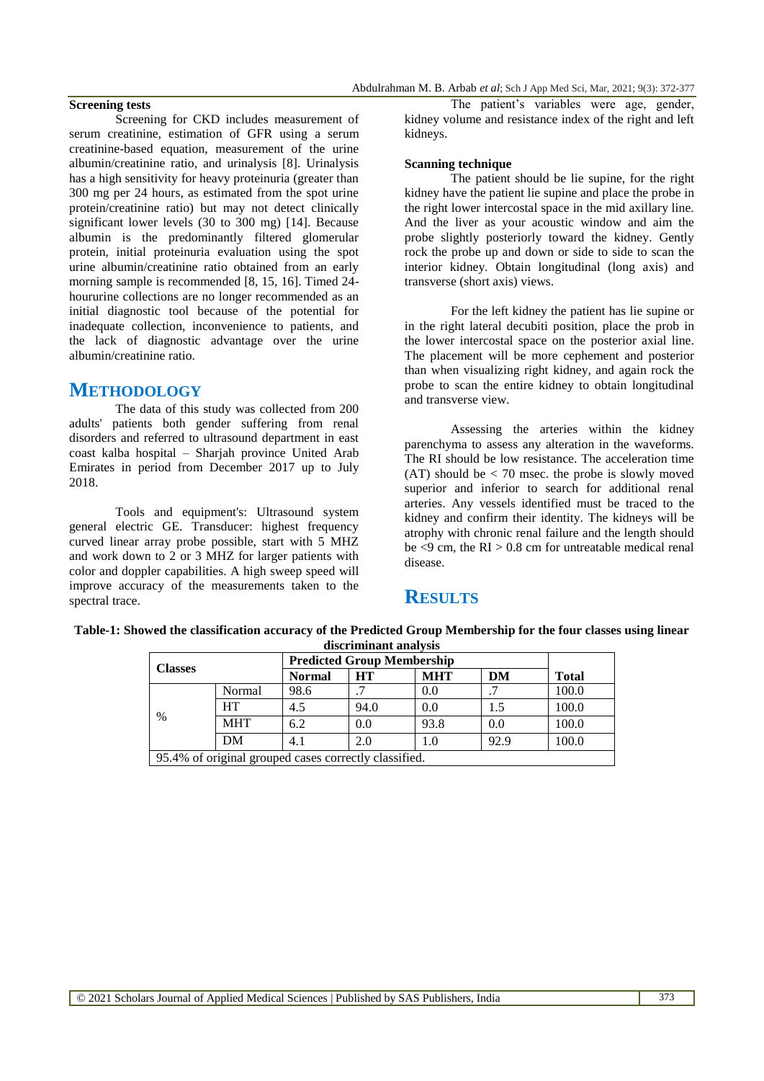#### **Screening tests**

Screening for CKD includes measurement of serum creatinine, estimation of GFR using a serum creatinine-based equation, measurement of the urine albumin/creatinine ratio, and urinalysis [8]. Urinalysis has a high sensitivity for heavy proteinuria (greater than 300 mg per 24 hours, as estimated from the spot urine protein/creatinine ratio) but may not detect clinically significant lower levels (30 to 300 mg) [14]. Because albumin is the predominantly filtered glomerular protein, initial proteinuria evaluation using the spot urine albumin/creatinine ratio obtained from an early morning sample is recommended [8, 15, 16]. Timed 24 hoururine collections are no longer recommended as an initial diagnostic tool because of the potential for inadequate collection, inconvenience to patients, and the lack of diagnostic advantage over the urine albumin/creatinine ratio.

## **METHODOLOGY**

The data of this study was collected from 200 adults' patients both gender suffering from renal disorders and referred to ultrasound department in east coast kalba hospital – Sharjah province United Arab Emirates in period from December 2017 up to July 2018.

Tools and equipment's: Ultrasound system general electric GE. Transducer: highest frequency curved linear array probe possible, start with 5 MHZ and work down to 2 or 3 MHZ for larger patients with color and doppler capabilities. A high sweep speed will improve accuracy of the measurements taken to the spectral trace.

The patient's variables were age, gender, kidney volume and resistance index of the right and left kidneys.

#### **Scanning technique**

The patient should be lie supine, for the right kidney have the patient lie supine and place the probe in the right lower intercostal space in the mid axillary line. And the liver as your acoustic window and aim the probe slightly posteriorly toward the kidney. Gently rock the probe up and down or side to side to scan the interior kidney. Obtain longitudinal (long axis) and transverse (short axis) views.

For the left kidney the patient has lie supine or in the right lateral decubiti position, place the prob in the lower intercostal space on the posterior axial line. The placement will be more cephement and posterior than when visualizing right kidney, and again rock the probe to scan the entire kidney to obtain longitudinal and transverse view.

Assessing the arteries within the kidney parenchyma to assess any alteration in the waveforms. The RI should be low resistance. The acceleration time  $(AT)$  should be  $\lt$  70 msec, the probe is slowly moved superior and inferior to search for additional renal arteries. Any vessels identified must be traced to the kidney and confirm their identity. The kidneys will be atrophy with chronic renal failure and the length should be  $\leq$ 9 cm, the RI  $>$  0.8 cm for untreatable medical renal disease.

## **RESULTS**

### **Table-1: Showed the classification accuracy of the Predicted Group Membership for the four classes using linear discriminant analysis**

| <b>Classes</b>                                        |            | <b>Predicted Group Membership</b> |      |            |      |              |
|-------------------------------------------------------|------------|-----------------------------------|------|------------|------|--------------|
|                                                       |            | <b>Normal</b>                     | HТ   | <b>MHT</b> | DM   | <b>Total</b> |
| $\%$                                                  | Normal     | 98.6                              |      | 0.0        |      | 100.0        |
|                                                       | HT         | 4.5                               | 94.0 | 0.0        | 1.5  | 100.0        |
|                                                       | <b>MHT</b> | 6.2                               | 0.0  | 93.8       | 0.0  | 100.0        |
|                                                       | DM         | 4.1                               | 2.0  | 1.0        | 92.9 | 100.0        |
| 95.4% of original grouped cases correctly classified. |            |                                   |      |            |      |              |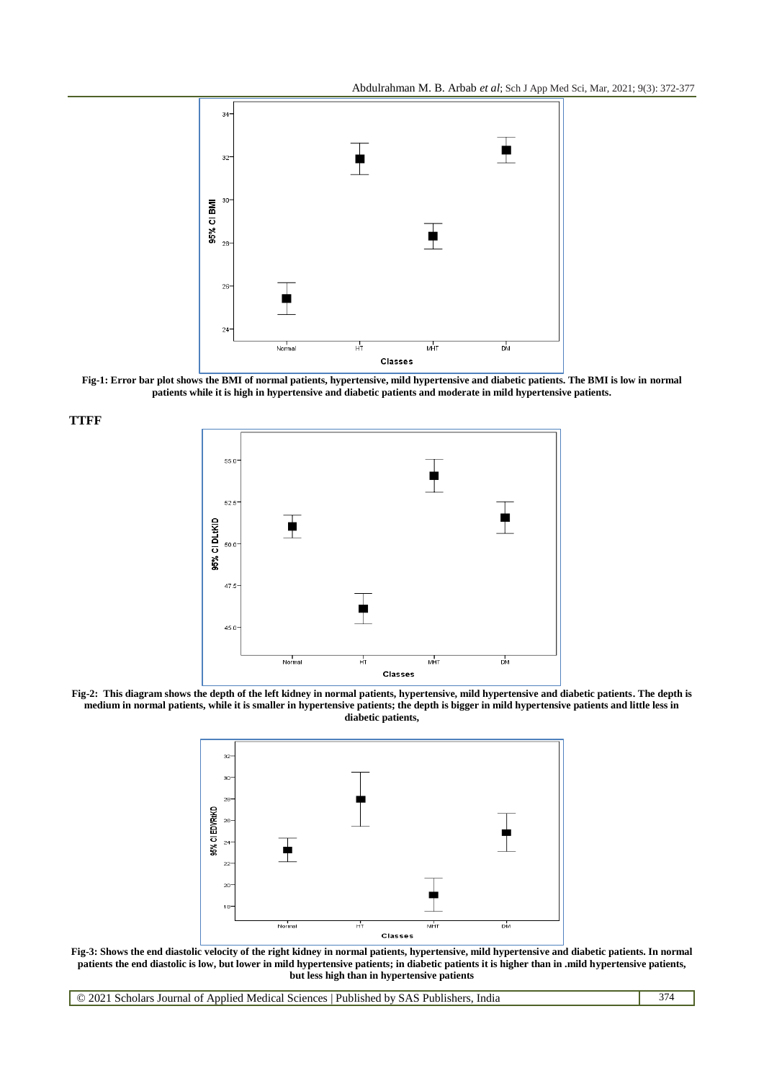Abdulrahman M. B. Arbab *et al*; Sch J App Med Sci, Mar, 2021; 9(3): 372-377



**Fig-1: Error bar plot shows the BMI of normal patients, hypertensive, mild hypertensive and diabetic patients. The BMI is low in normal patients while it is high in hypertensive and diabetic patients and moderate in mild hypertensive patients.**

**TTFF**







**Fig-3: Shows the end diastolic velocity of the right kidney in normal patients, hypertensive, mild hypertensive and diabetic patients. In normal patients the end diastolic is low, but lower in mild hypertensive patients; in diabetic patients it is higher than in .mild hypertensive patients, but less high than in hypertensive patients**

© 2021 Scholars Journal of Applied Medical Sciences | Published by SAS Publishers, India 374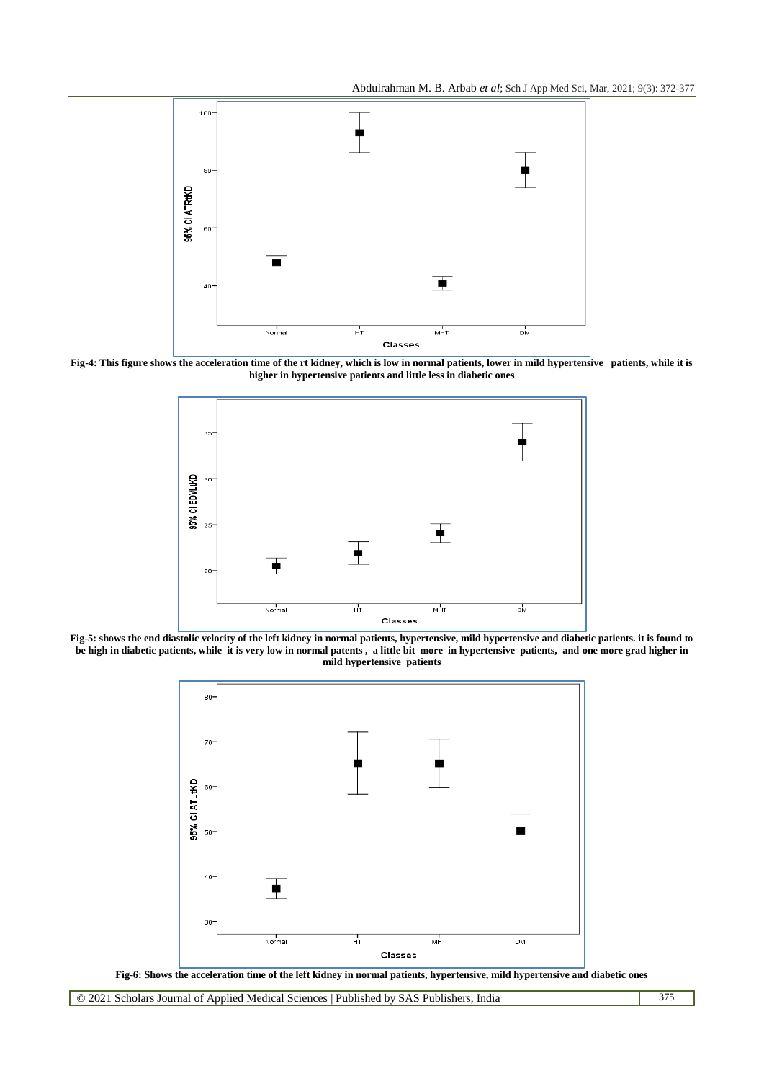Abdulrahman M. B. Arbab *et al*; Sch J App Med Sci, Mar, 2021; 9(3): 372-377



**Fig-4: This figure shows the acceleration time of the rt kidney, which is low in normal patients, lower in mild hypertensive patients, while it is higher in hypertensive patients and little less in diabetic ones**



**Fig-5: shows the end diastolic velocity of the left kidney in normal patients, hypertensive, mild hypertensive and diabetic patients. it is found to**  be high in diabetic patients, while it is very low in normal patents, a little bit more in hypertensive patients, and one more grad higher in **mild hypertensive patients**



**Fig-6: Shows the acceleration time of the left kidney in normal patients, hypertensive, mild hypertensive and diabetic ones**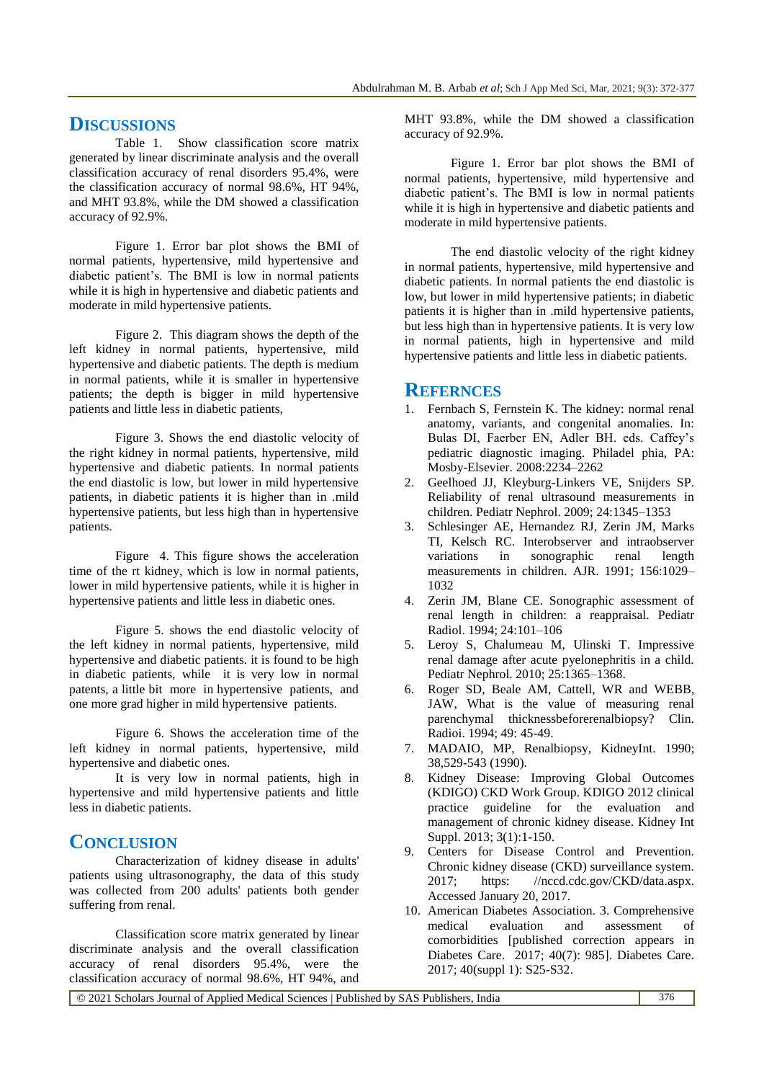## **DISCUSSIONS**

Table 1. Show classification score matrix generated by linear discriminate analysis and the overall classification accuracy of renal disorders 95.4%, were the classification accuracy of normal 98.6%, HT 94%, and MHT 93.8%, while the DM showed a classification accuracy of 92.9%.

Figure 1. Error bar plot shows the BMI of normal patients, hypertensive, mild hypertensive and diabetic patient's. The BMI is low in normal patients while it is high in hypertensive and diabetic patients and moderate in mild hypertensive patients.

Figure 2. This diagram shows the depth of the left kidney in normal patients, hypertensive, mild hypertensive and diabetic patients. The depth is medium in normal patients, while it is smaller in hypertensive patients; the depth is bigger in mild hypertensive patients and little less in diabetic patients,

Figure 3. Shows the end diastolic velocity of the right kidney in normal patients, hypertensive, mild hypertensive and diabetic patients. In normal patients the end diastolic is low, but lower in mild hypertensive patients, in diabetic patients it is higher than in .mild hypertensive patients, but less high than in hypertensive patients.

Figure 4. This figure shows the acceleration time of the rt kidney, which is low in normal patients, lower in mild hypertensive patients, while it is higher in hypertensive patients and little less in diabetic ones.

Figure 5. shows the end diastolic velocity of the left kidney in normal patients, hypertensive, mild hypertensive and diabetic patients. it is found to be high in diabetic patients, while it is very low in normal patents, a little bit more in hypertensive patients, and one more grad higher in mild hypertensive patients.

Figure 6. Shows the acceleration time of the left kidney in normal patients, hypertensive, mild hypertensive and diabetic ones.

It is very low in normal patients, high in hypertensive and mild hypertensive patients and little less in diabetic patients.

## **CONCLUSION**

Characterization of kidney disease in adults' patients using ultrasonography, the data of this study was collected from 200 adults' patients both gender suffering from renal.

Classification score matrix generated by linear discriminate analysis and the overall classification accuracy of renal disorders 95.4%, were the classification accuracy of normal 98.6%, HT 94%, and

MHT 93.8%, while the DM showed a classification accuracy of 92.9%.

Figure 1. Error bar plot shows the BMI of normal patients, hypertensive, mild hypertensive and diabetic patient's. The BMI is low in normal patients while it is high in hypertensive and diabetic patients and moderate in mild hypertensive patients.

The end diastolic velocity of the right kidney in normal patients, hypertensive, mild hypertensive and diabetic patients. In normal patients the end diastolic is low, but lower in mild hypertensive patients; in diabetic patients it is higher than in .mild hypertensive patients, but less high than in hypertensive patients. It is very low in normal patients, high in hypertensive and mild hypertensive patients and little less in diabetic patients.

## **REFERNCES**

- 1. Fernbach S, Fernstein K. The kidney: normal renal anatomy, variants, and congenital anomalies. In: Bulas DI, Faerber EN, Adler BH. eds. Caffey's pediatric diagnostic imaging. Philadel phia, PA: Mosby-Elsevier. 2008:2234–2262
- 2. Geelhoed JJ, Kleyburg-Linkers VE, Snijders SP. Reliability of renal ultrasound measurements in children. Pediatr Nephrol. 2009; 24:1345–1353
- 3. Schlesinger AE, Hernandez RJ, Zerin JM, Marks TI, Kelsch RC. Interobserver and intraobserver variations in sonographic renal length measurements in children. AJR. 1991; 156:1029– 1032
- 4. Zerin JM, Blane CE. Sonographic assessment of renal length in children: a reappraisal. Pediatr Radiol. 1994; 24:101–106
- 5. Leroy S, Chalumeau M, Ulinski T. Impressive renal damage after acute pyelonephritis in a child. Pediatr Nephrol. 2010; 25:1365–1368.
- 6. Roger SD, Beale AM, Cattell, WR and WEBB, JAW, What is the value of measuring renal parenchymal thicknessbeforerenalbiopsy? Clin. Radioi. 1994; 49: 45-49.
- 7. MADAIO, MP, Renalbiopsy, KidneyInt. 1990; 38,529-543 (1990).
- 8. Kidney Disease: Improving Global Outcomes (KDIGO) CKD Work Group. KDIGO 2012 clinical practice guideline for the evaluation and management of chronic kidney disease. Kidney Int Suppl. 2013; 3(1):1-150.
- 9. Centers for Disease Control and Prevention. Chronic kidney disease (CKD) surveillance system. 2017; https: //nccd.cdc.gov/CKD/data.aspx. Accessed January 20, 2017.
- 10. American Diabetes Association. 3. Comprehensive medical evaluation and assessment of comorbidities [published correction appears in Diabetes Care. 2017; 40(7): 985]. Diabetes Care. 2017; 40(suppl 1): S25-S32.

© 2021 Scholars Journal of Applied Medical Sciences | Published by SAS Publishers, India 376